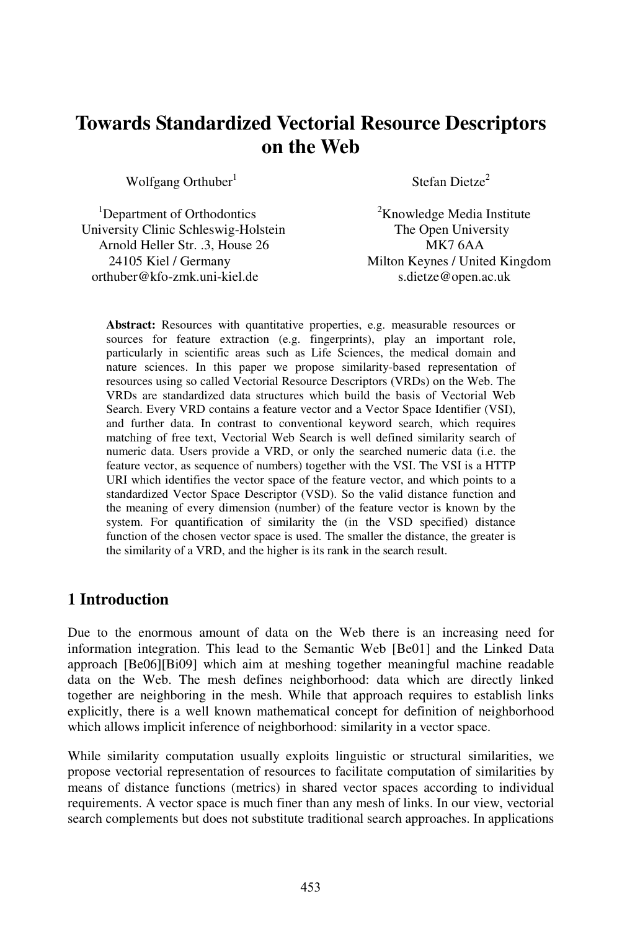# **Towards Standardized Vectorial Resource Descriptors on the Web**

Wolfgang Orthuber $<sup>1</sup>$ </sup>

 $1$ Department of Orthodontics  $2$ Knowledge Media Institute University Clinic Schleswig-Holstein The Open University Arnold Heller Str. .3, House 26 MK7 6AA orthuber@kfo-zmk.uni-kiel.de s.dietze@open.ac.uk

Stefan Dietze<sup>2</sup>

24105 Kiel/Germany Milton Keynes / United Kingdom

**Abstract:** Resources with quantitative properties, e.g. measurable resources or sources for feature extraction (e.g. fingerprints), play an important role, particularly in scientific areas such as Life Sciences, the medical domain and nature sciences. In this paper we propose similarity-based representation of resources using so called Vectorial Resource Descriptors (VRDs) on the Web. The VRDs are standardized data structures which build the basis of Vectorial Web Search. Every VRD contains a feature vector and a Vector Space Identifier (VSI), and further data. In contrast to conventional keyword search, which requires matching of free text, Vectorial Web Search is well defined similarity search of numeric data. Users provide a VRD, or only the searched numeric data (i.e. the feature vector, as sequence of numbers) together with the VSI. The VSI is a HTTP URI which identifies the vector space of the feature vector, and which points to a standardized Vector Space Descriptor (VSD). So the valid distance function and the meaning of every dimension (number) of the feature vector is known by the system. For quantification of similarity the (in the VSD specified) distance function of the chosen vector space is used. The smaller the distance, the greater is the similarity of a VRD, and the higher is its rank in the search result.

# **1 Introduction**

Due to the enormous amount of data on the Web there is an increasing need for information integration. This lead to the Semantic Web [Be01] and the Linked Data approach [Be06][Bi09] which aim at meshing together meaningful machine readable data on the Web. The mesh defines neighborhood: data which are directly linked together are neighboring in the mesh. While that approach requires to establish links explicitly, there is a well known mathematical concept for definition of neighborhood which allows implicit inference of neighborhood: similarity in a vector space.

While similarity computation usually exploits linguistic or structural similarities, we propose vectorial representation of resources to facilitate computation of similarities by means of distance functions (metrics) in shared vector spaces according to individual requirements. A vector space is much finer than any mesh of links. In our view, vectorial search complements but does not substitute traditional search approaches. In applications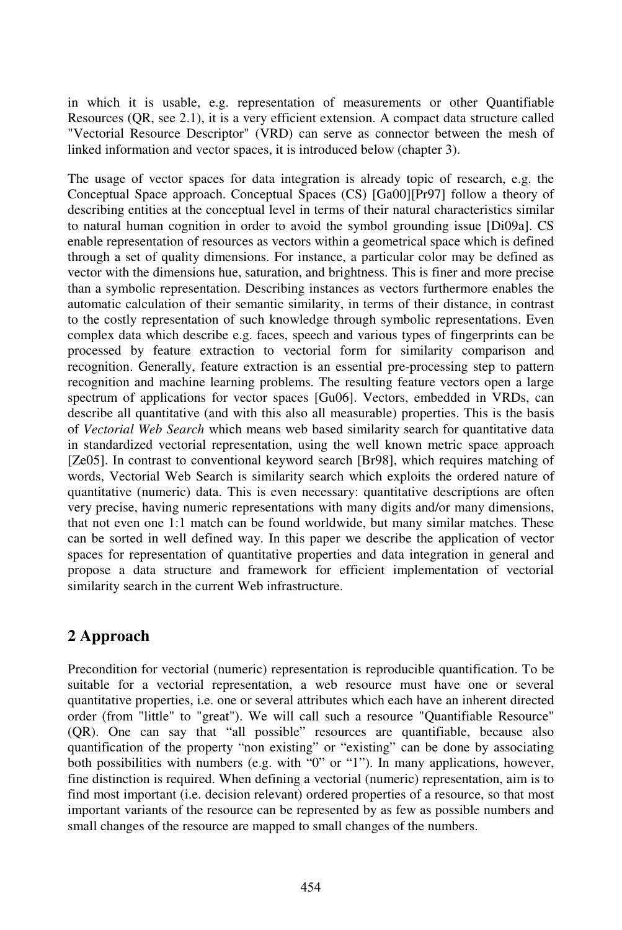in which it is usable, e.g. representation of measurements or other Quantifiable Resources (QR, see 2.1), it is a very efficient extension. A compact data structure called "Vectorial Resource Descriptor" (VRD) can serve as connector between the mesh of linked information and vector spaces, it is introduced below (chapter 3).

The usage of vector spaces for data integration is already topic of research, e.g. the Conceptual Space approach. Conceptual Spaces (CS) [Ga00][Pr97] follow a theory of describing entities at the conceptual level in terms of their natural characteristics similar to natural human cognition in order to avoid the symbol grounding issue [Di09a]. CS enable representation of resources as vectors within a geometrical space which is defined through a set of quality dimensions. For instance, a particular color may be defined as vector with the dimensions hue, saturation, and brightness. This is finer and more precise than a symbolic representation. Describing instances as vectors furthermore enables the automatic calculation of their semantic similarity, in terms of their distance, in contrast to the costly representation of such knowledge through symbolic representations. Even complex data which describe e.g. faces, speech and various types of fingerprints can be processed by feature extraction to vectorial form for similarity comparison and recognition. Generally, feature extraction is an essential pre-processing step to pattern recognition and machine learning problems. The resulting feature vectors open a large spectrum of applications for vector spaces [Gu06]. Vectors, embedded in VRDs, can describe all quantitative (and with this also all measurable) properties. This is the basis of *Vectorial Web Search* which means web based similarity search for quantitative data in standardized vectorial representation, using the well known metric space approach [Ze05]. In contrast to conventional keyword search [Br98], which requires matching of words, Vectorial Web Search is similarity search which exploits the ordered nature of quantitative (numeric) data. This is even necessary: quantitative descriptions are often very precise, having numeric representations with many digits and/or many dimensions, that not even one 1:1 match can be found worldwide, but many similar matches. These can be sorted in well defined way. In this paper we describe the application of vector spaces for representation of quantitative properties and data integration in general and proposeadata structure and framework for efficient implementation of vectorial similarity search in the current Web infrastructure.

# **2 Approach**

Precondition for vectorial (numeric) representation is reproducible quantification. To be suitable for a vectorial representation, a web resource must have one or several quantitative properties, i.e. one or several attributes which each have an inherent directed order (from "little" to "great"). We will call such a resource "Quantifiable Resource" (QR). One can say that "all possible" resources are quantifiable, because also quantification of the property "non existing" or "existing" can be done by associating both possibilities with numbers (e.g. with "0" or "1"). In many applications, however, fine distinction is required. When defining a vectorial (numeric) representation, aim is to find most important (i.e. decision relevant) ordered properties of a resource, so that most important variants of the resource can be represented by as few as possible numbers and small changes of the resource are mapped to small changes of the numbers.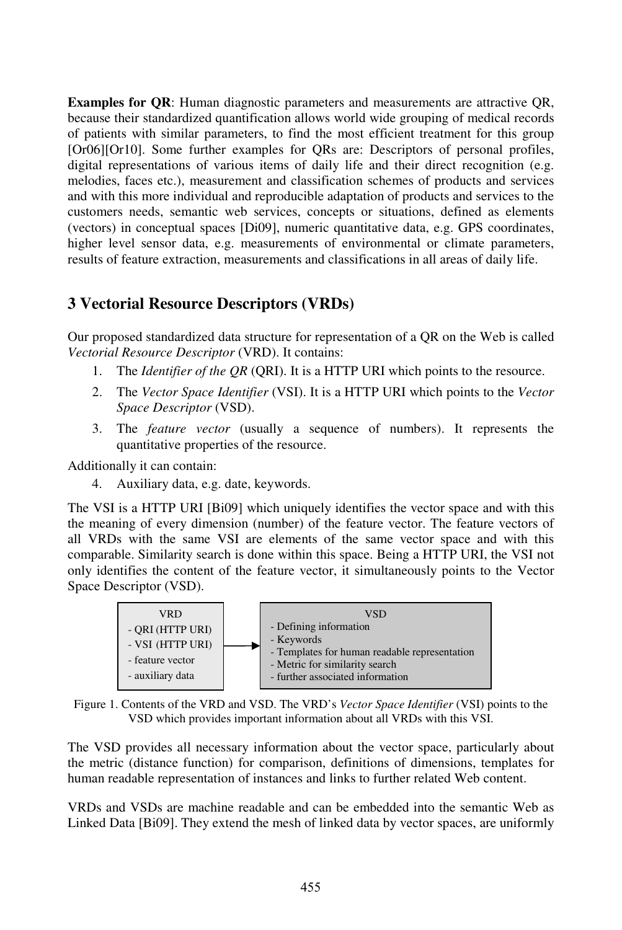**Examples for QR**: Human diagnostic parameters and measurements are attractive QR, because their standardized quantification allows world wide grouping of medical records of patients with similar parameters, to find the most efficient treatment for this group [Or06][Or10]. Some further examples for QRs are: Descriptors of personal profiles, digital representations of various items of daily life and their direct recognition (e.g. melodies, faces etc.), measurement and classification schemes of products and services and with this more individual and reproducible adaptation of products and services to the customers needs, semantic web services, concepts or situations, defined as elements (vectors) in conceptual spaces [Di09], numeric quantitative data, e.g. GPS coordinates, higher level sensor data, e.g. measurements of environmental or climate parameters, results of feature extraction, measurements and classifications in all areas of daily life.

## **3 Vectorial Resource Descriptors (VRDs)**

Our proposed standardized data structure for representation of a QR on the Web is called *Vectorial Resource Descriptor* (VRD). It contains:

- 1. The *Identifier of the QR* (QRI). It is a HTTP URI which points to the resource.
- 2. The *Vector Space Identifier* (VSI). It is a HTTP URI which points to the *Vector Space Descriptor* (VSD).
- 3. The *feature vector* (usually a sequence of numbers). It represents the quantitative properties of the resource.

Additionally it can contain:

4. Auxiliary data, e.g. date, keywords.

The VSI is a HTTP URI [Bi09] which uniquely identifies the vector space and with this the meaning of every dimension (number) of the feature vector. The feature vectors of all VRDs with the same VSI are elements of the same vector space and with this comparable. Similarity search is done within this space. Being a HTTP URI, the VSI not only identifies the content of the feature vector, it simultaneously points to the Vector Space Descriptor (VSD).



Figure 1. Contents of the VRD and VSD. The VRD's *Vector Space Identifier* (VSI) points to the VSD which provides important information about all VRDs with this VSI.

The VSD provides all necessary information about the vector space, particularly about the metric (distance function) for comparison, definitions of dimensions, templates for human readable representation of instances and links to further related Web content.

VRDs and VSDs are machine readable and can be embedded into the semantic Web as Linked Data [Bi09]. They extend the mesh of linked data by vector spaces, are uniformly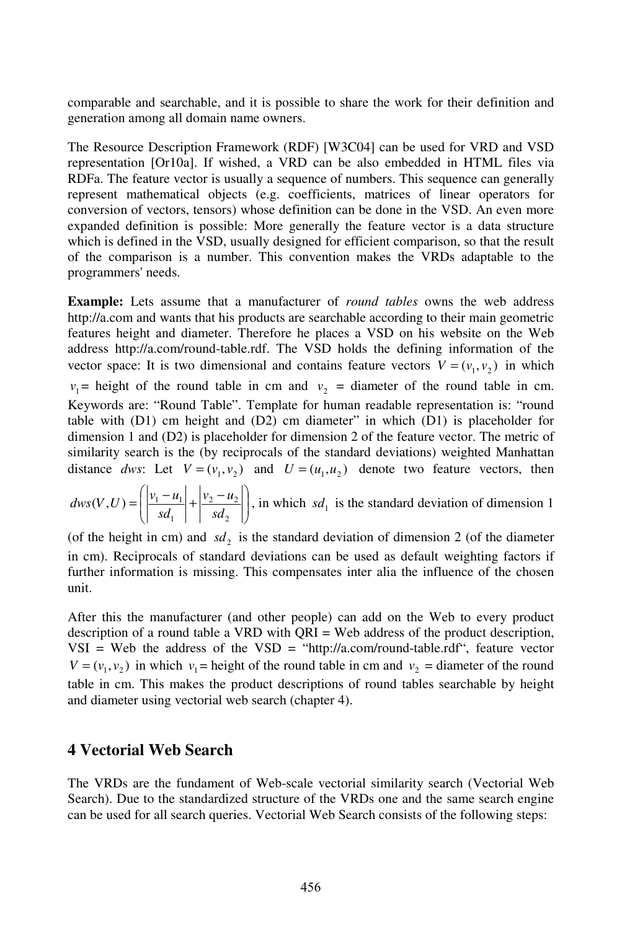comparable and searchable, and it is possible to share the work for their definition and generation among all domain name owners.

The Resource Description Framework (RDF) [W3C04] can be used for VRD and VSD representation [Or10a]. If wished, a VRD can be also embedded in HTML files via RDFa. The feature vector is usually a sequence of numbers. This sequence can generally represent mathematical objects (e.g. coefficients, matrices of linear operators for conversion of vectors, tensors) whose definition can be done in the VSD. An even more expanded definition is possible: More generally the feature vector is a data structure which is defined in the VSD, usually designed for efficient comparison, so that the result of the comparison is a number. This convention makes the VRDs adaptable to the programmers' needs.

**Example:** Lets assume that a manufacturer of *round tables* owns the web address http://a.com and wants that his products are searchable according to their main geometric features height and diameter. Therefore he places a VSD on his website on the Web address http://a.com/round-table.rdf. The VSD holds the defining information of the vector space: It is two dimensional and contains feature vectors  $V = (v_1, v_2)$  in which  $v_1$  = height of the round table in cm and  $v_2$  = diameter of the round table in cm. Keywords are: "Round Table". Template for human readable representation is: "round table with (D1) cm height and (D2) cm diameter" in which (D1) is placeholder for dimension 1 and  $(D2)$  is placeholder for dimension 2 of the feature vector. The metric of similarity search is the (by reciprocals of the standard deviations) weighted Manhattan distance *dws*: Let  $V = (v_1, v_2)$  and  $U = (u_1, u_2)$  denote two feature vectors, then

 J  $\backslash$  $\overline{\phantom{a}}$ l  $=\left(\frac{|v_1 - u_1|}{sd_1} + \frac{|v_2 - u_1|}{sd_2}\right)$  $2 - u_2$ 1  $(V,U) = \frac{|V_1 - u_1|}{|V_1 - u_1|}$ *sd*  $v_2 - u$ *sd*  $dws(V,U) = \left| \frac{|v_1 - u_1|}{|v_1 - u_2|} + \frac{|v_2 - u_2|}{|v_1 - u_2|} \right|$ , in which sd<sub>1</sub> is the standard deviation of dimension 1

(of the height in cm) and  $sd_2$  is the standard deviation of dimension 2 (of the diameter in cm). Reciprocals of standard deviations can be used as default weighting factors if further information is missing. This compensates inter alia the influence of the chosen unit.

After this the manufacturer (and other people) can add on the Web to every product description of a round table a VRD with QRI = Web address of the product description,  $VSI = Web$  the address of the  $VSD = "http://a.com/round-table.rdf",$  feature vector  $V = (v_1, v_2)$  in which  $v_1$  = height of the round table in cm and  $v_2$  = diameter of the round table in cm. This makes the product descriptions of round tables searchable by height and diameter using vectorial web search (chapter 4).

### **4 Vectorial Web Search**

The VRDs are the fundament of Web-scale vectorial similarity search (Vectorial Web Search). Due to the standardized structure of the VRDs one and the same search engine can be used for all search queries. Vectorial Web Search consists of the following steps: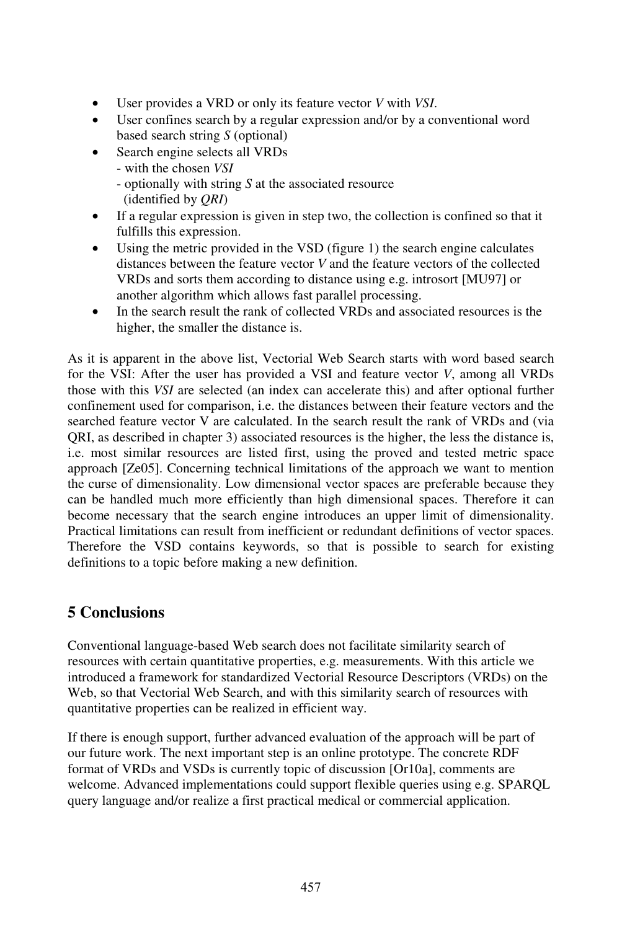- User provides a VRD or only its feature vector *V* with *VSI*.
- User confines search by a regular expression and/or by a conventional word based search string *S* (optional)
- Search engine selects all VRDs
	- with the chosen *VSI*
	- optionally with string *S* at the associated resource (identified by *QRI*)
- If a regular expression is given in step two, the collection is confined so that it fulfills this expression.
- Using the metric provided in the VSD (figure 1) the search engine calculates distances between the feature vector *V* and the feature vectors of the collected VRDs and sorts them according to distance using e.g. introsort [MU97] or another algorithm which allows fast parallel processing.
- In the search result the rank of collected VRDs and associated resources is the higher, the smaller the distance is.

As it is apparent in the above list, Vectorial Web Search starts with word based search for the VSI: After the user has provided a VSI and feature vector *V*, among all VRDs those with this *VSI* are selected (an index can accelerate this) and after optional further confinement used for comparison, i.e. the distances between their feature vectors and the searched feature vector V are calculated. In the search result the rank of VRDs and (via QRI, as described in chapter 3) associated resources is the higher, the less the distance is, i.e. most similar resources are listed first, using the proved and tested metric space approach [Ze05]. Concerning technical limitations of the approach we want to mention the curse of dimensionality. Low dimensional vector spaces are preferable because they can be handled much more efficiently than high dimensional spaces. Therefore it can become necessary that the search engine introduces an upper limit of dimensionality. Practical limitations can result from inefficient or redundant definitions of vector spaces. Therefore the VSD contains keywords, so that is possible to search for existing definitions to a topic before making a new definition.

# **5 Conclusions**

Conventional language-based Web search does not facilitate similarity search of resources with certain quantitative properties, e.g. measurements. With this article we introduced a framework for standardized Vectorial Resource Descriptors (VRDs) on the Web, so that Vectorial Web Search, and with this similarity search of resources with quantitative properties can be realized in efficient way.

If there is enough support, further advanced evaluation of the approach will be part of our future work. The next important step is an online prototype. The concrete RDF format of VRDs and VSDs is currently topic of discussion [Or10a], comments are welcome. Advanced implementations could support flexible queries using e.g. SPARQL query language and/or realize a first practical medical or commercial application.